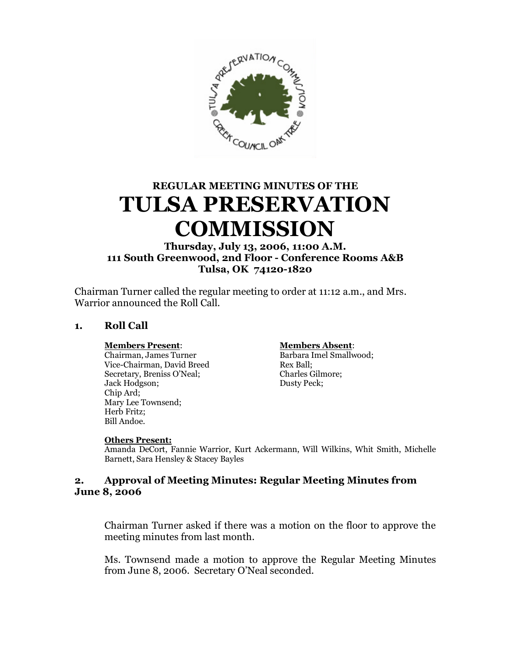

# **REGULAR MEETING MINUTES OF THE TULSA PRESERVATION COMMISSION**

# **Thursday, July 13, 2006, 11:00 A.M. 111 South Greenwood, 2nd Floor - Conference Rooms A&B Tulsa, OK 74120-1820**

Chairman Turner called the regular meeting to order at 11:12 a.m., and Mrs. Warrior announced the Roll Call.

# **1. Roll Call**

Chairman, James Turner Barbara Imel Smallwood; Vice-Chairman, David Breed Rex Ball;<br>Secretary, Breniss O'Neal; Charles Gilmore; Secretary, Breniss O'Neal; Jack Hodgson; Dusty Peck; Chip Ard; Mary Lee Townsend; Herb Fritz; Bill Andoe.

#### **Members Present**: **Members Absent**:

#### **Others Present:**

Amanda DeCort, Fannie Warrior, Kurt Ackermann, Will Wilkins, Whit Smith, Michelle Barnett, Sara Hensley & Stacey Bayles

#### **2. Approval of Meeting Minutes: Regular Meeting Minutes from June 8, 2006**

Chairman Turner asked if there was a motion on the floor to approve the meeting minutes from last month.

Ms. Townsend made a motion to approve the Regular Meeting Minutes from June 8, 2006. Secretary O'Neal seconded.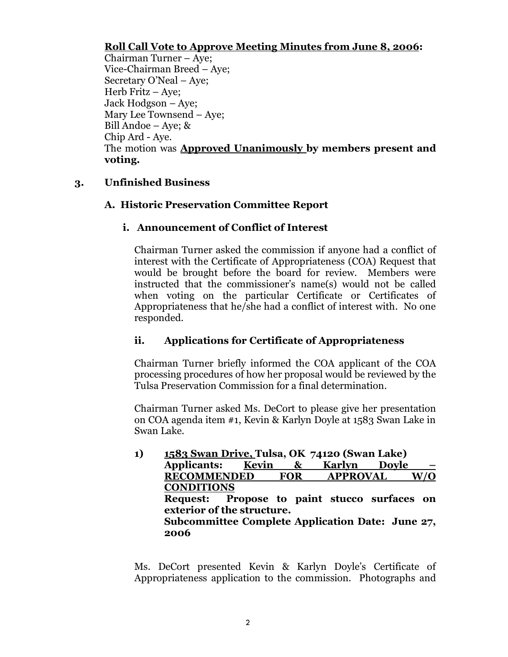# **Roll Call Vote to Approve Meeting Minutes from June 8, 2006:**

Chairman Turner – Aye; Vice-Chairman Breed – Aye; Secretary O'Neal –Aye; Herb Fritz – Ave: Jack Hodgson – Aye; Mary Lee Townsend – Aye; Bill Andoe – Aye;  $&$ Chip Ard - Aye. The motion was **Approved Unanimously by members present and voting.**

# **3. Unfinished Business**

# **A. Historic Preservation Committee Report**

# **i. Announcement of Conflict of Interest**

Chairman Turner asked the commission if anyone had a conflict of interest with the Certificate of Appropriateness (COA) Request that would be brought before the board for review. Members were instructed that the commissioner's name(s) would not be called when voting on the particular Certificate or Certificates of Appropriateness that he/she had a conflict of interest with. No one responded.

# **ii. Applications for Certificate of Appropriateness**

Chairman Turner briefly informed the COA applicant of the COA processing procedures of how her proposal would be reviewed by the Tulsa Preservation Commission for a final determination.

Chairman Turner asked Ms. DeCort to please give her presentation on COA agenda item #1, Kevin & Karlyn Doyle at 1583 Swan Lake in Swan Lake.

**1) 1583 Swan Drive, Tulsa, OK 74120 (Swan Lake) Applicants: Kevin & Karlyn Doyle – RECOMMENDED FOR APPROVAL W/O CONDITIONS Request: Propose to paint stucco surfaces on exterior of the structure. Subcommittee Complete Application Date: June 27, 2006** 

Ms. DeCort presented Kevin & Karlyn Doyle's Certificate of Appropriateness application to the commission. Photographs and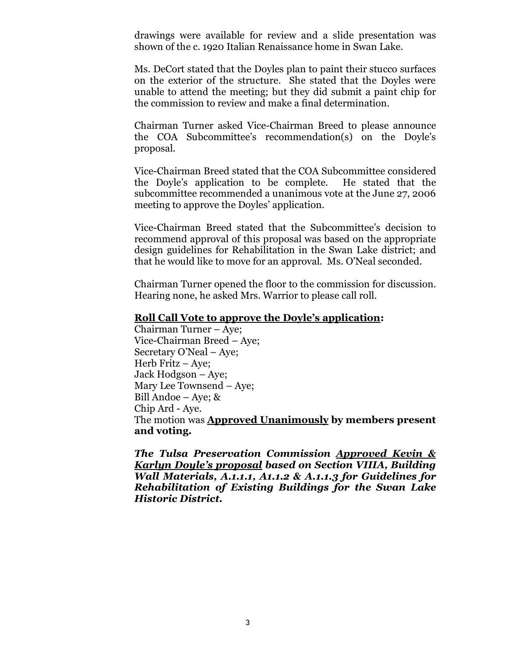drawings were available for review and a slide presentation was shown of the c. 1920 Italian Renaissance home in Swan Lake.

Ms. DeCort stated that the Doyles plan to paint their stucco surfaces on the exterior of the structure. She stated that the Doyles were unable to attend the meeting; but they did submit a paint chip for the commission to review and make a final determination.

Chairman Turner asked Vice-Chairman Breed to please announce the COA Subcommittee's recommendation(s) on the Doyle's proposal.

Vice-Chairman Breed stated that the COA Subcommittee considered the Doyle's application to be complete. He stated that the subcommittee recommended a unanimous vote at the June 27, 2006 meeting to approve the Doyles'application.

Vice-Chairman Breed stated that the Subcommittee's decision to recommend approval of this proposal was based on the appropriate design guidelines for Rehabilitation in the Swan Lake district; and that he would like to move for an approval. Ms. O'Neal seconded.

Chairman Turner opened the floor to the commission for discussion. Hearing none, he asked Mrs. Warrior to please call roll.

### **Roll Call Vote to approve the Doyle's application:**

Chairman Turner – Aye; Vice-Chairman Breed – Aye; Secretary O'Neal – Aye; Herb Fritz – Aye; Jack Hodgson – Aye; Mary Lee Townsend – Aye; Bill Andoe – Aye; & Chip Ard - Aye. The motion was **Approved Unanimously by members present and voting.**

*The Tulsa Preservation Commission Approved Kevin & Karlyn Doyle's proposal based on Section VIIIA, Building Wall Materials, A.1.1.1, A1.1.2 & A.1.1.3 for Guidelines for Rehabilitation of Existing Buildings for the Swan Lake Historic District.*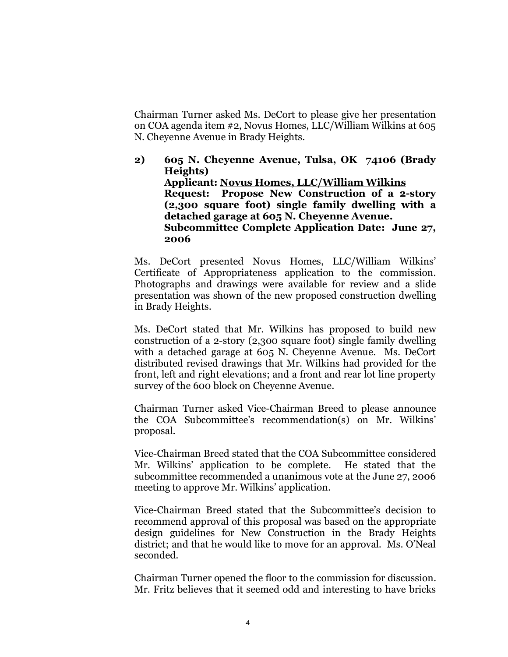Chairman Turner asked Ms. DeCort to please give her presentation on COA agenda item #2, Novus Homes, LLC/William Wilkins at 605 N. Cheyenne Avenue in Brady Heights.

**2) 605 N. Cheyenne Avenue, Tulsa, OK 74106 (Brady Heights) Applicant: Novus Homes, LLC/William Wilkins Request: Propose New Construction of a 2-story (2,300 square foot) single family dwelling with a detached garage at 605 N. Cheyenne Avenue. Subcommittee Complete Application Date: June 27, 2006**

Ms. DeCort presented Novus Homes, LLC/William Wilkins' Certificate of Appropriateness application to the commission. Photographs and drawings were available for review and a slide presentation was shown of the new proposed construction dwelling in Brady Heights.

Ms. DeCort stated that Mr. Wilkins has proposed to build new construction of a 2-story (2,300 square foot) single family dwelling with a detached garage at 605 N. Cheyenne Avenue. Ms. DeCort distributed revised drawings that Mr. Wilkins had provided for the front, left and right elevations; and a front and rear lot line property survey of the 600 block on Cheyenne Avenue.

Chairman Turner asked Vice-Chairman Breed to please announce the COA Subcommittee's recommendation(s) on Mr. Wilkins' proposal.

Vice-Chairman Breed stated that the COA Subcommittee considered Mr. Wilkins'application to be complete. He stated that the subcommittee recommended a unanimous vote at the June 27, 2006 meeting to approve Mr. Wilkins'application.

Vice-Chairman Breed stated that the Subcommittee's decision to recommend approval of this proposal was based on the appropriate design guidelines for New Construction in the Brady Heights district; and that he would like to move for an approval. Ms. O'Neal seconded.

Chairman Turner opened the floor to the commission for discussion. Mr. Fritz believes that it seemed odd and interesting to have bricks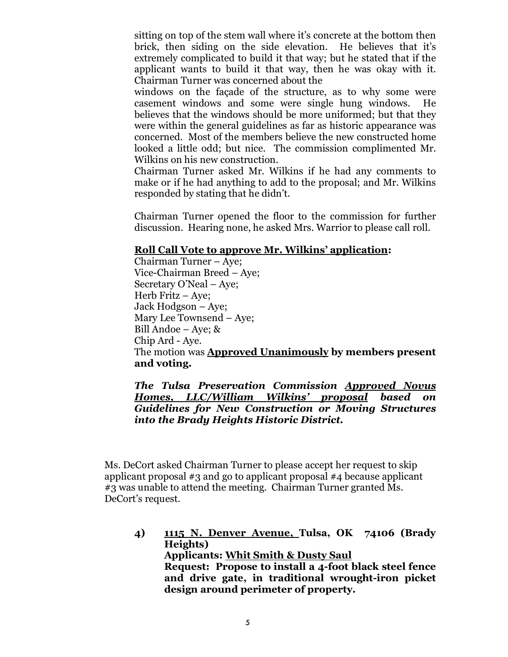sitting on top of the stem wall where it's concrete at the bottom then brick, then siding on the side elevation. He believes that it's extremely complicated to build it that way; but he stated that if the applicant wants to build it that way, then he was okay with it. Chairman Turner was concerned about the

windows on the façade of the structure, as to why some were casement windows and some were single hung windows. He believes that the windows should be more uniformed; but that they were within the general guidelines as far as historic appearance was concerned. Most of the members believe the new constructed home looked a little odd; but nice. The commission complimented Mr. Wilkins on his new construction.

Chairman Turner asked Mr. Wilkins if he had any comments to make or if he had anything to add to the proposal; and Mr. Wilkins responded by stating that he didn't.

Chairman Turner opened the floor to the commission for further discussion. Hearing none, he asked Mrs. Warrior to please call roll.

#### **Roll Call Vote to approve Mr. Wilkins' application:**

Chairman Turner – Aye; Vice-Chairman Breed – Aye; Secretary O'Neal – Aye; Herb Fritz – Aye; Jack Hodgson – Aye; Mary Lee Townsend – Aye; Bill Andoe – Aye; & Chip Ard - Aye. The motion was **Approved Unanimously by members present and voting.**

*The Tulsa Preservation Commission Approved Novus Homes, LLC/William Wilkins' proposal based on Guidelines for New Construction or Moving Structures into the Brady Heights Historic District.*

Ms. DeCort asked Chairman Turner to please accept her request to skip applicant proposal #3 and go to applicant proposal #4 because applicant #3 was unable to attend the meeting. Chairman Turner granted Ms. DeCort's request.

**4) 1115 N. Denver Avenue, Tulsa, OK 74106 (Brady Heights) Applicants: Whit Smith & Dusty Saul Request: Propose to install a 4-foot black steel fence and drive gate, in traditional wrought-iron picket design around perimeter of property.**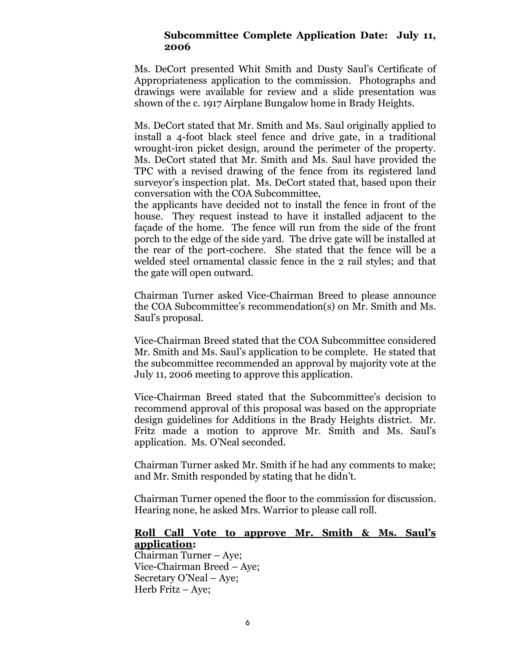#### **Subcommittee Complete Application Date: July 11, 2006**

Ms. DeCort presented Whit Smith and Dusty Saul's Certificate of Appropriateness application to the commission. Photographs and drawings were available for review and a slide presentation was shown of the c. 1917 Airplane Bungalow home in Brady Heights.

Ms. DeCort stated that Mr. Smith and Ms. Saul originally applied to install a 4-foot black steel fence and drive gate, in a traditional wrought-iron picket design, around the perimeter of the property. Ms. DeCort stated that Mr. Smith and Ms. Saul have provided the TPC with a revised drawing of the fence from its registered land surveyor's inspection plat. Ms. DeCort stated that, based upon their conversation with the COA Subcommittee,

the applicants have decided not to install the fence in front of the house. They request instead to have it installed adjacent to the façade of the home. The fence will run from the side of the front porch to the edge of the side yard. The drive gate will be installed at the rear of the port-cochere. She stated that the fence will be a welded steel ornamental classic fence in the 2 rail styles; and that the gate will open outward.

Chairman Turner asked Vice-Chairman Breed to please announce the COA Subcommittee's recommendation(s) on Mr. Smith and Ms. Saul's proposal.

Vice-Chairman Breed stated that the COA Subcommittee considered Mr. Smith and Ms. Saul's application to be complete. He stated that the subcommittee recommended an approval by majority vote at the July 11, 2006 meeting to approve this application.

Vice-Chairman Breed stated that the Subcommittee's decision to recommend approval of this proposal was based on the appropriate design guidelines for Additions in the Brady Heights district. Mr. Fritz made a motion to approve Mr. Smith and Ms. Saul's application. Ms. O'Neal seconded.

Chairman Turner asked Mr. Smith if he had any comments to make; and Mr. Smith responded by stating that he didn't.

Chairman Turner opened the floor to the commission for discussion. Hearing none, he asked Mrs. Warrior to please call roll.

#### **Roll Call Vote to approve Mr. Smith & Ms. Saul's application:**

Chairman Turner – Aye; Vice-Chairman Breed – Aye; Secretary O'Neal – Aye; Herb Fritz – Aye;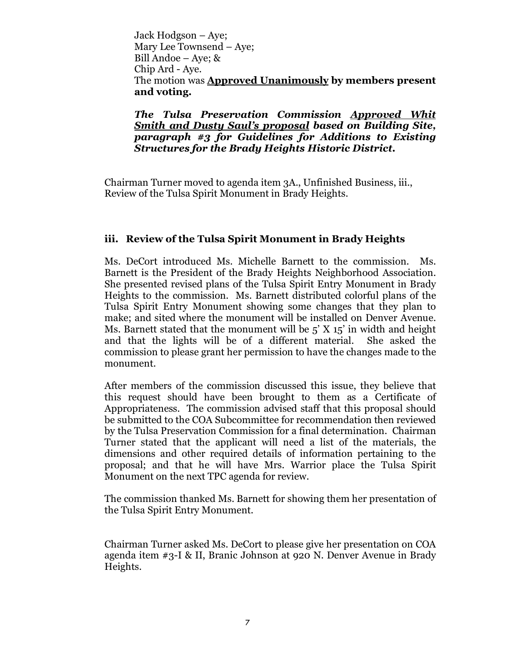Jack Hodgson – Aye; Mary Lee Townsend – Aye; Bill Andoe – Aye; & Chip Ard - Aye. The motion was **Approved Unanimously by members present and voting.**

*The Tulsa Preservation Commission Approved Whit Smith and Dusty Saul's proposal based on Building Site, paragraph #3 for Guidelines for Additions to Existing Structures for the Brady Heights Historic District.*

Chairman Turner moved to agenda item 3A., Unfinished Business, iii., Review of the Tulsa Spirit Monument in Brady Heights.

# **iii. Review of the Tulsa Spirit Monument in Brady Heights**

Ms. DeCort introduced Ms. Michelle Barnett to the commission. Ms. Barnett is the President of the Brady Heights Neighborhood Association. She presented revised plans of the Tulsa Spirit Entry Monument in Brady Heights to the commission. Ms. Barnett distributed colorful plans of the Tulsa Spirit Entry Monument showing some changes that they plan to make; and sited where the monument will be installed on Denver Avenue. Ms. Barnett stated that the monument will be  $5'$  X  $15'$  in width and height and that the lights will be of a different material. She asked the commission to please grant her permission to have the changes made to the monument.

After members of the commission discussed this issue, they believe that this request should have been brought to them as a Certificate of Appropriateness. The commission advised staff that this proposal should be submitted to the COA Subcommittee for recommendation then reviewed by the Tulsa Preservation Commission for a final determination. Chairman Turner stated that the applicant will need a list of the materials, the dimensions and other required details of information pertaining to the proposal; and that he will have Mrs. Warrior place the Tulsa Spirit Monument on the next TPC agenda for review.

The commission thanked Ms. Barnett for showing them her presentation of the Tulsa Spirit Entry Monument.

Chairman Turner asked Ms. DeCort to please give her presentation on COA agenda item #3-I & II, Branic Johnson at 920 N. Denver Avenue in Brady Heights.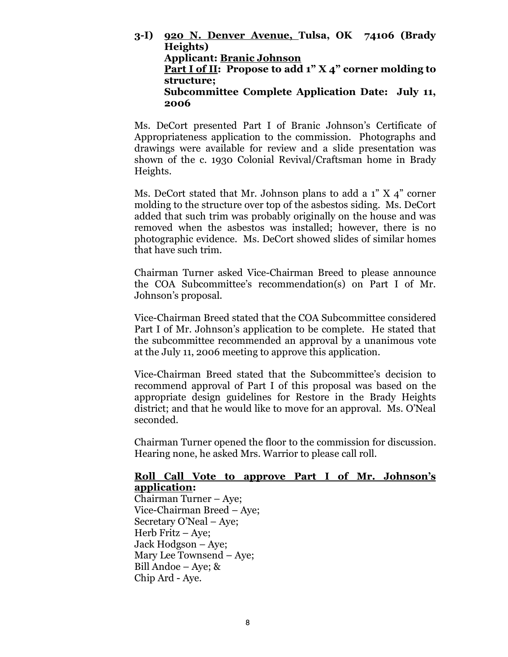**3-I) 920 N. Denver Avenue, Tulsa, OK 74106 (Brady Heights) Applicant: Branic Johnson Part I of II: Propose to add 1" X 4" corner molding to structure; Subcommittee Complete Application Date: July 11, 2006**

Ms. DeCort presented Part I of Branic Johnson's Certificate of Appropriateness application to the commission. Photographs and drawings were available for review and a slide presentation was shown of the c. 1930 Colonial Revival/Craftsman home in Brady Heights.

Ms. DeCort stated that Mr. Johnson plans to add a  $1''$  X  $4''$  corner molding to the structure over top of the asbestos siding. Ms. DeCort added that such trim was probably originally on the house and was removed when the asbestos was installed; however, there is no photographic evidence. Ms. DeCort showed slides of similar homes that have such trim.

Chairman Turner asked Vice-Chairman Breed to please announce the COA Subcommittee's recommendation(s) on Part I of Mr. Johnson's proposal.

Vice-Chairman Breed stated that the COA Subcommittee considered Part I of Mr. Johnson's application to be complete. He stated that the subcommittee recommended an approval by a unanimous vote at the July 11, 2006 meeting to approve this application.

Vice-Chairman Breed stated that the Subcommittee's decision to recommend approval of Part I of this proposal was based on the appropriate design guidelines for Restore in the Brady Heights district; and that he would like to move for an approval. Ms. O'Neal seconded.

Chairman Turner opened the floor to the commission for discussion. Hearing none, he asked Mrs. Warrior to please call roll.

#### **Roll Call Vote to approve Part I of Mr. Johnson's application:**

Chairman Turner – Aye; Vice-Chairman Breed – Aye; Secretary O'Neal – Aye; Herb Fritz – Aye; Jack Hodgson – Aye; Mary Lee Townsend – Aye; Bill Andoe – Aye; & Chip Ard - Aye.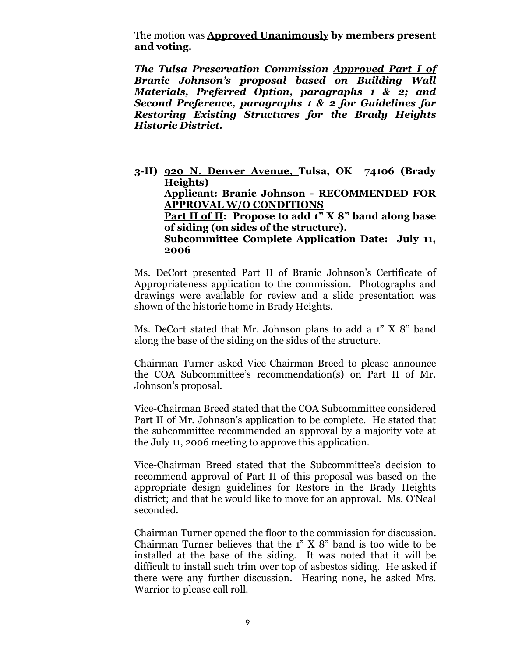The motion was **Approved Unanimously by members present and voting.**

*The Tulsa Preservation Commission Approved Part I of Branic Johnson's proposal based on Building Wall Materials, Preferred Option, paragraphs 1 & 2; and Second Preference, paragraphs 1 & 2 for Guidelines for Restoring Existing Structures for the Brady Heights Historic District.*

**3-II) 920 N. Denver Avenue, Tulsa, OK 74106 (Brady Heights) Applicant: Branic Johnson - RECOMMENDED FOR APPROVAL W/O CONDITIONS Part II of II: Propose to add 1" X 8" band along base of siding (on sides of the structure). Subcommittee Complete Application Date: July 11, 2006**

Ms. DeCort presented Part II of Branic Johnson's Certificate of Appropriateness application to the commission. Photographs and drawings were available for review and a slide presentation was shown of the historic home in Brady Heights.

Ms. DeCort stated that Mr. Johnson plans to add a 1" X 8" band along the base of the siding on the sides of the structure.

Chairman Turner asked Vice-Chairman Breed to please announce the COA Subcommittee's recommendation(s) on Part II of Mr. Johnson's proposal.

Vice-Chairman Breed stated that the COA Subcommittee considered Part II of Mr. Johnson's application to be complete. He stated that the subcommittee recommended an approval by a majority vote at the July 11, 2006 meeting to approve this application.

Vice-Chairman Breed stated that the Subcommittee's decision to recommend approval of Part II of this proposal was based on the appropriate design guidelines for Restore in the Brady Heights district; and that he would like to move for an approval. Ms. O'Neal seconded.

Chairman Turner opened the floor to the commission for discussion. Chairman Turner believes that the 1" X 8" band is too wide to be installed at the base of the siding. It was noted that it will be difficult to install such trim over top of asbestos siding. He asked if there were any further discussion. Hearing none, he asked Mrs. Warrior to please call roll.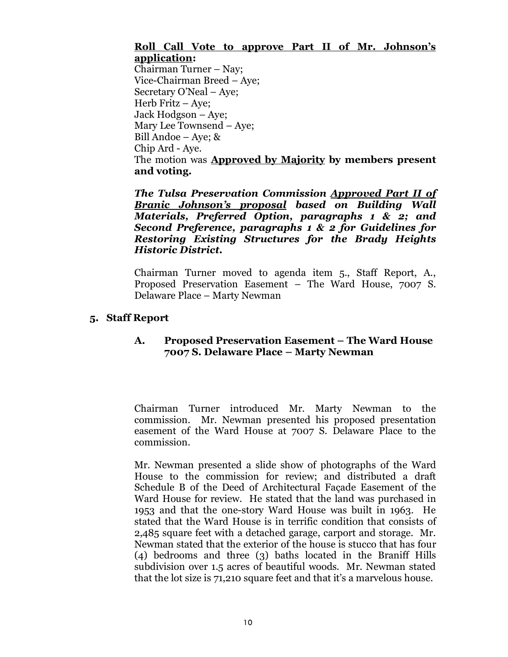# **Roll Call Vote to approve Part II of Mr. Johnson's application:**

Chairman Turner – Nay; Vice-Chairman Breed – Aye; Secretary O'Neal – Aye; Herb Fritz – Aye; Jack Hodgson – Aye; Mary Lee Townsend – Aye; Bill Andoe – Aye; & Chip Ard - Aye. The motion was **Approved by Majority by members present and voting.**

*The Tulsa Preservation Commission Approved Part II of Branic Johnson's proposal based on Building Wall Materials, Preferred Option, paragraphs 1 & 2; and Second Preference, paragraphs 1 & 2 for Guidelines for Restoring Existing Structures for the Brady Heights Historic District.*

Chairman Turner moved to agenda item 5., Staff Report, A., Proposed Preservation Easement – The Ward House, 7007 S. Delaware Place – Marty Newman

# **5. Staff Report**

# **A. Proposed Preservation Easement – The Ward House 7007 S. Delaware Place – Marty Newman**

Chairman Turner introduced Mr. Marty Newman to the commission. Mr. Newman presented his proposed presentation easement of the Ward House at 7007 S. Delaware Place to the commission.

Mr. Newman presented a slide show of photographs of the Ward House to the commission for review; and distributed a draft Schedule B of the Deed of Architectural Façade Easement of the Ward House for review. He stated that the land was purchased in 1953 and that the one-story Ward House was built in 1963. He stated that the Ward House is in terrific condition that consists of 2,485 square feet with a detached garage, carport and storage. Mr. Newman stated that the exterior of the house is stucco that has four (4) bedrooms and three (3) baths located in the Braniff Hills subdivision over 1.5 acres of beautiful woods. Mr. Newman stated that the lot size is 71,210 square feet and that it's a marvelous house.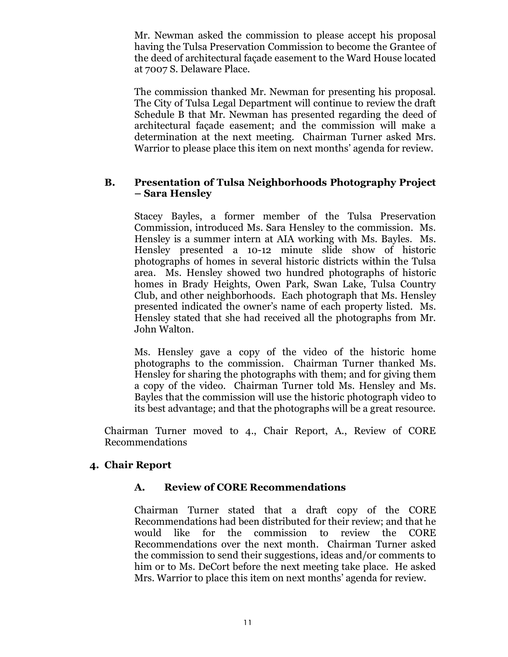Mr. Newman asked the commission to please accept his proposal having the Tulsa Preservation Commission to become the Grantee of the deed of architectural façade easement to the Ward House located at 7007 S. Delaware Place.

The commission thanked Mr. Newman for presenting his proposal. The City of Tulsa Legal Department will continue to review the draft Schedule B that Mr. Newman has presented regarding the deed of architectural façade easement; and the commission will make a determination at the next meeting. Chairman Turner asked Mrs. Warrior to please place this item on next months' agenda for review.

#### **B. Presentation of Tulsa Neighborhoods Photography Project – Sara Hensley**

Stacey Bayles, a former member of the Tulsa Preservation Commission, introduced Ms. Sara Hensley to the commission. Ms. Hensley is a summer intern at AIA working with Ms. Bayles. Ms. Hensley presented a 10-12 minute slide show of historic photographs of homes in several historic districts within the Tulsa area. Ms. Hensley showed two hundred photographs of historic homes in Brady Heights, Owen Park, Swan Lake, Tulsa Country Club, and other neighborhoods. Each photograph that Ms. Hensley presented indicated the owner's name of each property listed. Ms. Hensley stated that she had received all the photographs from Mr. John Walton.

Ms. Hensley gave a copy of the video of the historic home photographs to the commission. Chairman Turner thanked Ms. Hensley for sharing the photographs with them; and for giving them a copy of the video. Chairman Turner told Ms. Hensley and Ms. Bayles that the commission will use the historic photograph video to its best advantage; and that the photographs will be a great resource.

Chairman Turner moved to 4., Chair Report, A., Review of CORE Recommendations

# **4. Chair Report**

# **A. Review of CORE Recommendations**

Chairman Turner stated that a draft copy of the CORE Recommendations had been distributed for their review; and that he would like for the commission to review the CORE Recommendations over the next month. Chairman Turner asked the commission to send their suggestions, ideas and/or comments to him or to Ms. DeCort before the next meeting take place. He asked Mrs. Warrior to place this item on next months' agenda for review.